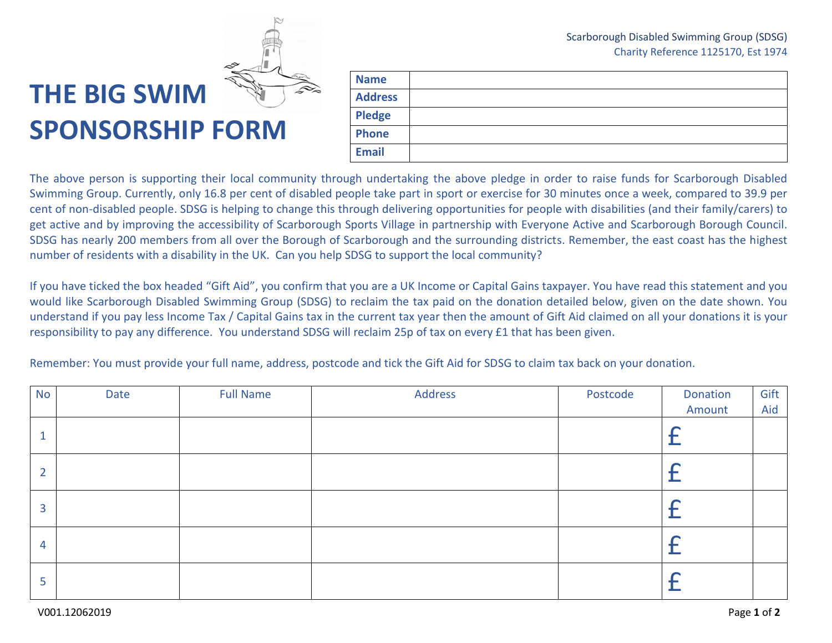## Scarborough Disabled Swimming Group (SDSG) Charity Reference 1125170, Est 1974



## **THE BIG SWIM SPONSORSHIP FORM**

| <b>Name</b>    |  |
|----------------|--|
| <b>Address</b> |  |
| <b>Pledge</b>  |  |
| Phone          |  |
| <b>Email</b>   |  |

The above person is supporting their local community through undertaking the above pledge in order to raise funds for Scarborough Disabled Swimming Group. Currently, only 16.8 per cent of disabled people take part in sport or exercise for 30 minutes once a week, compared to 39.9 per cent of non-disabled people. SDSG is helping to change this through delivering opportunities for people with disabilities (and their family/carers) to get active and by improving the accessibility of Scarborough Sports Village in partnership with Everyone Active and Scarborough Borough Council. SDSG has nearly 200 members from all over the Borough of Scarborough and the surrounding districts. Remember, the east coast has the highest number of residents with a disability in the UK. Can you help SDSG to support the local community?

If you have ticked the box headed "Gift Aid", you confirm that you are a UK Income or Capital Gains taxpayer. You have read this statement and you would like Scarborough Disabled Swimming Group (SDSG) to reclaim the tax paid on the donation detailed below, given on the date shown. You understand if you pay less Income Tax / Capital Gains tax in the current tax year then the amount of Gift Aid claimed on all your donations it is your responsibility to pay any difference. You understand SDSG will reclaim 25p of tax on every £1 that has been given.

Remember: You must provide your full name, address, postcode and tick the Gift Aid for SDSG to claim tax back on your donation.

| <b>No</b>      | Date | <b>Full Name</b> | Address | Postcode | Donation | Gift |
|----------------|------|------------------|---------|----------|----------|------|
|                |      |                  |         |          | Amount   | Aid  |
| $\mathbf{1}$   |      |                  |         |          |          |      |
| $\overline{2}$ |      |                  |         |          |          |      |
| 3              |      |                  |         |          |          |      |
| $\overline{4}$ |      |                  |         |          |          |      |
| 5              |      |                  |         |          |          |      |